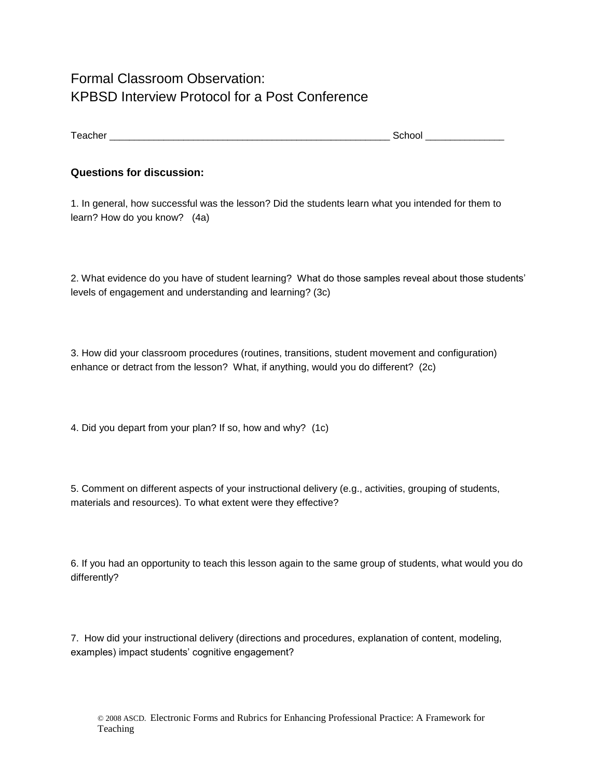## Formal Classroom Observation: KPBSD Interview Protocol for a Post Conference

## **Questions for discussion:**

1. In general, how successful was the lesson? Did the students learn what you intended for them to learn? How do you know? (4a)

2. What evidence do you have of student learning? What do those samples reveal about those students' levels of engagement and understanding and learning? (3c)

3. How did your classroom procedures (routines, transitions, student movement and configuration) enhance or detract from the lesson? What, if anything, would you do different? (2c)

4. Did you depart from your plan? If so, how and why? (1c)

5. Comment on different aspects of your instructional delivery (e.g., activities, grouping of students, materials and resources). To what extent were they effective?

6. If you had an opportunity to teach this lesson again to the same group of students, what would you do differently?

7. How did your instructional delivery (directions and procedures, explanation of content, modeling, examples) impact students' cognitive engagement?